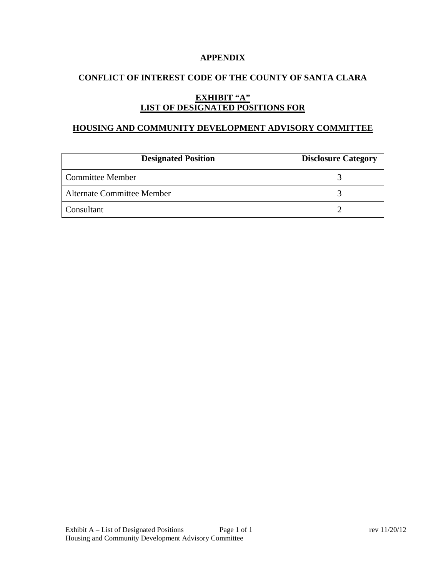### **APPENDIX**

# **CONFLICT OF INTEREST CODE OF THE COUNTY OF SANTA CLARA**

# **EXHIBIT "A" LIST OF DESIGNATED POSITIONS FOR**

#### **HOUSING AND COMMUNITY DEVELOPMENT ADVISORY COMMITTEE**

| <b>Designated Position</b>        | <b>Disclosure Category</b> |
|-----------------------------------|----------------------------|
| Committee Member                  |                            |
| <b>Alternate Committee Member</b> |                            |
| Consultant                        |                            |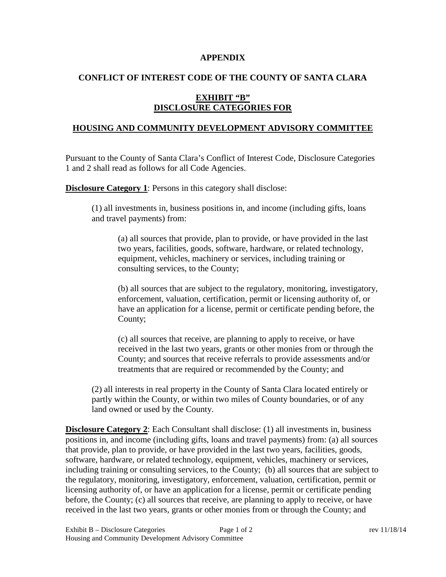#### **APPENDIX**

# **CONFLICT OF INTEREST CODE OF THE COUNTY OF SANTA CLARA**

# **EXHIBIT "B" DISCLOSURE CATEGORIES FOR**

#### **HOUSING AND COMMUNITY DEVELOPMENT ADVISORY COMMITTEE**

Pursuant to the County of Santa Clara's Conflict of Interest Code, Disclosure Categories 1 and 2 shall read as follows for all Code Agencies.

**Disclosure Category 1:** Persons in this category shall disclose:

(1) all investments in, business positions in, and income (including gifts, loans and travel payments) from:

(a) all sources that provide, plan to provide, or have provided in the last two years, facilities, goods, software, hardware, or related technology, equipment, vehicles, machinery or services, including training or consulting services, to the County;

(b) all sources that are subject to the regulatory, monitoring, investigatory, enforcement, valuation, certification, permit or licensing authority of, or have an application for a license, permit or certificate pending before, the County;

(c) all sources that receive, are planning to apply to receive, or have received in the last two years, grants or other monies from or through the County; and sources that receive referrals to provide assessments and/or treatments that are required or recommended by the County; and

(2) all interests in real property in the County of Santa Clara located entirely or partly within the County, or within two miles of County boundaries, or of any land owned or used by the County.

**Disclosure Category 2:** Each Consultant shall disclose: (1) all investments in, business positions in, and income (including gifts, loans and travel payments) from: (a) all sources that provide, plan to provide, or have provided in the last two years, facilities, goods, software, hardware, or related technology, equipment, vehicles, machinery or services, including training or consulting services, to the County; (b) all sources that are subject to the regulatory, monitoring, investigatory, enforcement, valuation, certification, permit or licensing authority of, or have an application for a license, permit or certificate pending before, the County; (c) all sources that receive, are planning to apply to receive, or have received in the last two years, grants or other monies from or through the County; and